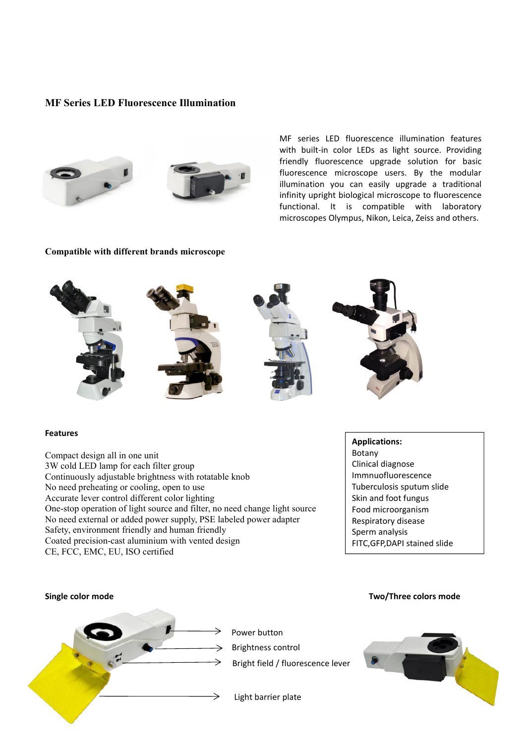## **MF Series LED Fluorescence Illumination**





MF series LED fluorescence illumination features with built-in color LEDs as light source. Providing friendly fluorescence upgrade solution for basic fluorescence microscope users. By the modular illumination you can easily upgrade a traditional infinity upright biological microscope to fluorescence functional. It is compatible with laboratory microscopes Olympus, Nikon, Leica, Zeiss and others.

## **Compatible with different brands microscope**



## **Features**

Compact design all in one unit 3W cold LEDlamp for each filter group Continuously adjustable brightness with rotatable knob No need preheating or cooling, open to use Accurate lever control different color lighting One-stop operation of light source and filter, no need change light source No need external or added power supply, PSE labeled power adapter Safety, environment friendly and human friendly Coated precision-cast aluminium with vented design CE, FCC, EMC, EU, ISO certified

**Applications:** Botany Clinical diagnose Immnuofluorescence Tuberculosis sputum slide Skin and foot fungus Food microorganism Respiratory disease Sperm analysis FITC,GFP,DAPI stained slide